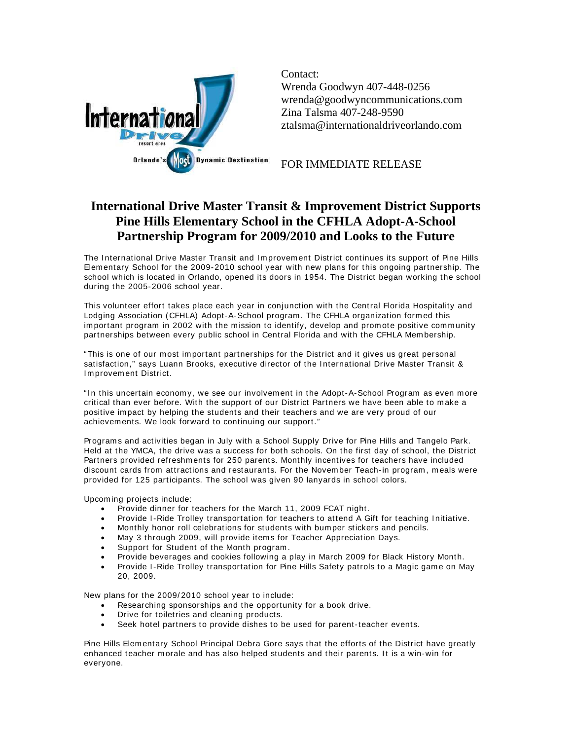

Contact: Wrenda Goodwyn 407-448-0256 wrenda@goodwyncommunications.com Zina Talsma 407-248-9590 ztalsma@internationaldriveorlando.com

FOR IMMEDIATE RELEASE

## **International Drive Master Transit & Improvement District Supports Pine Hills Elementary School in the CFHLA Adopt-A-School Partnership Program for 2009/2010 and Looks to the Future**

The International Drive Master Transit and Improvement District continues its support of Pine Hills Elementary School for the 2009-2010 school year with new plans for this ongoing partnership. The school which is located in Orlando, opened its doors in 1954. The District began working the school during the 2005-2006 school year.

This volunteer effort takes place each year in conjunction with the Central Florida Hospitality and Lodging Association (CFHLA) Adopt-A-School program. The CFHLA organization form ed this important program in 2002 with the mission to identify, develop and promote positive community partnerships between every public school in Central Florida and with the CFHLA Mem bership.

"This is one of our m ost im portant partnerships for the District and it gives us great personal satisfaction," says Luann Brooks, executive director of the International Drive Master Transit & I m provem ent District.

"In this uncertain economy, we see our involvement in the Adopt-A-School Program as even more critical than ever before. With the support of our District Partners we have been able to make a positive impact by helping the students and their teachers and we are very proud of our achievements. We look forward to continuing our support."

Programs and activities began in July with a School Supply Drive for Pine Hills and Tangelo Park. Held at the YMCA, the drive was a success for both schools. On the first day of school, the District Partners provided refreshments for 250 parents. Monthly incentives for teachers have included discount cards from attractions and restaurants. For the November Teach-in program, meals were provided for 125 participants. The school was given 90 lanyards in school colors.

Upcom ing projects include:

- Provide dinner for teachers for the March 11, 2009 FCAT night.
- Provide I -Ride Trolley transportation for teachers to attend A Gift for teaching I nitiative.
- Monthly honor roll celebrations for students with bumper stickers and pencils.
- May 3 through 2009, will provide items for Teacher Appreciation Days.
- Support for Student of the Month program.
- Provide beverages and cookies following a play in March 2009 for Black History Month.
- Provide I-Ride Trolley transportation for Pine Hills Safety patrols to a Magic game on May 20, 2009.

New plans for the 2009/ 2010 school year to include:

- Researching sponsorships and the opportunity for a book drive.
- Drive for toiletries and cleaning products.
- Seek hotel partners to provide dishes to be used for parent-teacher events.

Pine Hills Elem entary School Principal Debra Gore says that the efforts of the District have greatly enhanced teacher morale and has also helped students and their parents. It is a win-win for everyone.